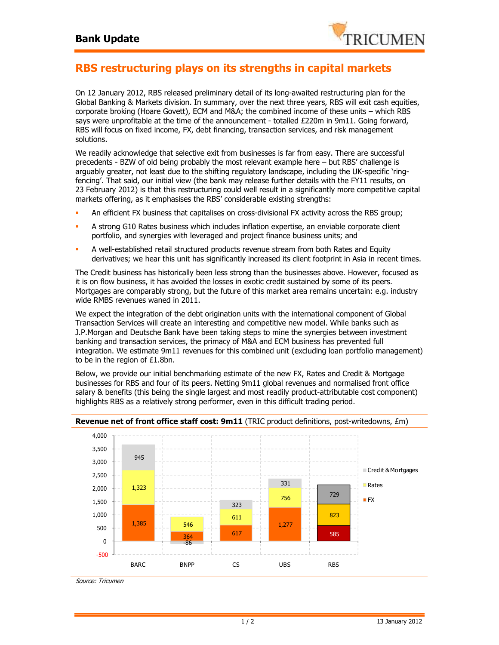

## **RBS restructuring plays on its strengths in capital markets**

On 12 January 2012, RBS released preliminary detail of its long-awaited restructuring plan for the Global Banking & Markets division. In summary, over the next three years, RBS will exit cash equities, corporate broking (Hoare Govett), ECM and M&A; the combined income of these units – which RBS says were unprofitable at the time of the announcement - totalled £220m in 9m11. Going forward, RBS will focus on fixed income, FX, debt financing, transaction services, and risk management solutions.

We readily acknowledge that selective exit from businesses is far from easy. There are successful precedents - BZW of old being probably the most relevant example here – but RBS' challenge is arguably greater, not least due to the shifting regulatory landscape, including the UK-specific 'ringfencing'. That said, our initial view (the bank may release further details with the FY11 results, on 23 February 2012) is that this restructuring could well result in a significantly more competitive capital markets offering, as it emphasises the RBS' considerable existing strengths:

- An efficient FX business that capitalises on cross-divisional FX activity across the RBS group;
- A strong G10 Rates business which includes inflation expertise, an enviable corporate client portfolio, and synergies with leveraged and project finance business units; and
- A well-established retail structured products revenue stream from both Rates and Equity derivatives; we hear this unit has significantly increased its client footprint in Asia in recent times.

The Credit business has historically been less strong than the businesses above. However, focused as it is on flow business, it has avoided the losses in exotic credit sustained by some of its peers. Mortgages are comparably strong, but the future of this market area remains uncertain: e.g. industry wide RMBS revenues waned in 2011.

We expect the integration of the debt origination units with the international component of Global Transaction Services will create an interesting and competitive new model. While banks such as J.P.Morgan and Deutsche Bank have been taking steps to mine the synergies between investment banking and transaction services, the primacy of M&A and ECM business has prevented full integration. We estimate 9m11 revenues for this combined unit (excluding loan portfolio management) to be in the region of £1.8bn.

Below, we provide our initial benchmarking estimate of the new FX, Rates and Credit & Mortgage businesses for RBS and four of its peers. Netting 9m11 global revenues and normalised front office salary & benefits (this being the single largest and most readily product-attributable cost component) highlights RBS as a relatively strong performer, even in this difficult trading period.



## **Revenue net of front office staff cost: 9m11** (TRIC product definitions, post-writedowns, £m)

Source: Tricumen